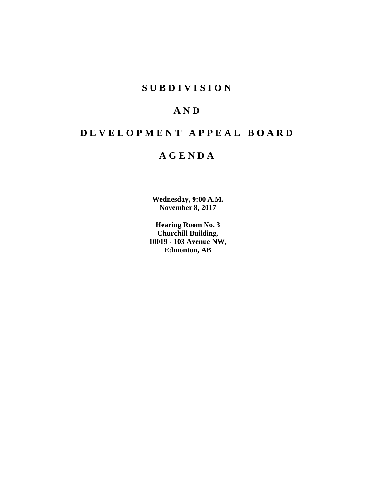# **S U B D I V I S I O N**

# **A N D**

# **D E V E L O P M E N T A P P E A L B O A R D**

# **A G E N D A**

**Wednesday, 9:00 A.M. November 8, 2017**

**Hearing Room No. 3 Churchill Building, 10019 - 103 Avenue NW, Edmonton, AB**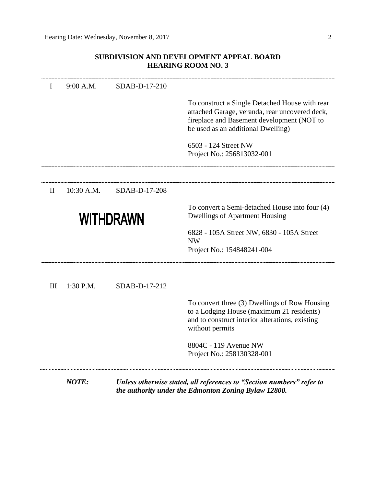# **SUBDIVISION AND DEVELOPMENT APPEAL BOARD HEARING ROOM NO. 3**

| I            | 9:00 A.M.    | SDAB-D-17-210    |                                                                                                                                                                                      |
|--------------|--------------|------------------|--------------------------------------------------------------------------------------------------------------------------------------------------------------------------------------|
|              |              |                  | To construct a Single Detached House with rear<br>attached Garage, veranda, rear uncovered deck,<br>fireplace and Basement development (NOT to<br>be used as an additional Dwelling) |
|              |              |                  | 6503 - 124 Street NW<br>Project No.: 256813032-001                                                                                                                                   |
| $\mathbf{I}$ | 10:30 A.M.   | SDAB-D-17-208    |                                                                                                                                                                                      |
|              |              | <b>WITHDRAWN</b> | To convert a Semi-detached House into four (4)<br><b>Dwellings of Apartment Housing</b>                                                                                              |
|              |              |                  | 6828 - 105A Street NW, 6830 - 105A Street<br><b>NW</b><br>Project No.: 154848241-004                                                                                                 |
| III          | 1:30 P.M.    | SDAB-D-17-212    |                                                                                                                                                                                      |
|              |              |                  | To convert three (3) Dwellings of Row Housing<br>to a Lodging House (maximum 21 residents)<br>and to construct interior alterations, existing<br>without permits                     |
|              |              |                  | 8804C - 119 Avenue NW<br>Project No.: 258130328-001                                                                                                                                  |
|              | <b>NOTE:</b> |                  | Unless otherwise stated, all references to "Section numbers" refer to<br>the authority under the Edmonton Zoning Bylaw 12800.                                                        |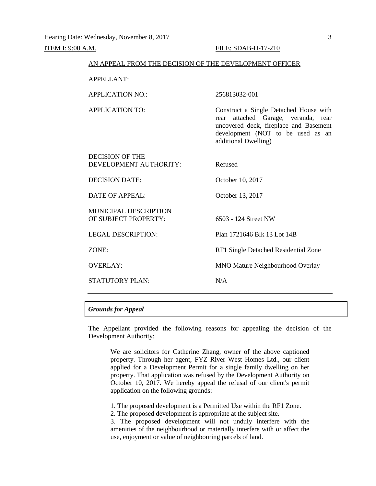| AN APPEAL FROM THE DECISION OF THE DEVELOPMENT OFFICER |                                                                                                                                                                                            |
|--------------------------------------------------------|--------------------------------------------------------------------------------------------------------------------------------------------------------------------------------------------|
| <b>APPELLANT:</b>                                      |                                                                                                                                                                                            |
| <b>APPLICATION NO.:</b>                                | 256813032-001                                                                                                                                                                              |
| <b>APPLICATION TO:</b>                                 | Construct a Single Detached House with<br>attached Garage, veranda,<br>rear<br>rear<br>uncovered deck, fireplace and Basement<br>development (NOT to be used as an<br>additional Dwelling) |
| DECISION OF THE<br>DEVELOPMENT AUTHORITY:              | Refused                                                                                                                                                                                    |
| <b>DECISION DATE:</b>                                  | October 10, 2017                                                                                                                                                                           |
| <b>DATE OF APPEAL:</b>                                 | October 13, 2017                                                                                                                                                                           |
| <b>MUNICIPAL DESCRIPTION</b><br>OF SUBJECT PROPERTY:   | 6503 - 124 Street NW                                                                                                                                                                       |
| <b>LEGAL DESCRIPTION:</b>                              | Plan 1721646 Blk 13 Lot 14B                                                                                                                                                                |
| ZONE:                                                  | RF1 Single Detached Residential Zone                                                                                                                                                       |
| <b>OVERLAY:</b>                                        | <b>MNO Mature Neighbourhood Overlay</b>                                                                                                                                                    |
| <b>STATUTORY PLAN:</b>                                 | N/A                                                                                                                                                                                        |

### *Grounds for Appeal*

The Appellant provided the following reasons for appealing the decision of the Development Authority:

We are solicitors for Catherine Zhang, owner of the above captioned property. Through her agent, FYZ River West Homes Ltd., our client applied for a Development Permit for a single family dwelling on her property. That application was refused by the Development Authority on October 10, 2017. We hereby appeal the refusal of our client's permit application on the following grounds:

1. The proposed development is a Permitted Use within the RF1 Zone.

2. The proposed development is appropriate at the subject site.

3. The proposed development will not unduly interfere with the amenities of the neighbourhood or materially interfere with or affect the use, enjoyment or value of neighbouring parcels of land.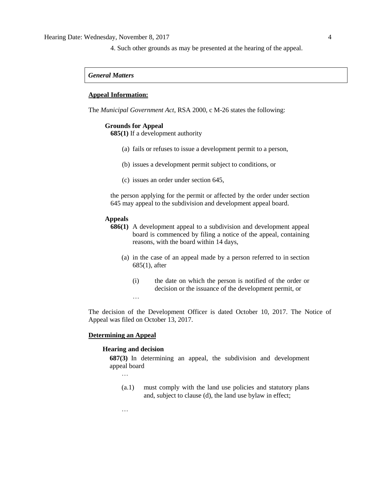4. Such other grounds as may be presented at the hearing of the appeal.

### *General Matters*

### **Appeal Information:**

The *Municipal Government Act*, RSA 2000, c M-26 states the following:

#### **Grounds for Appeal**

**685(1)** If a development authority

- (a) fails or refuses to issue a development permit to a person,
- (b) issues a development permit subject to conditions, or
- (c) issues an order under section 645,

the person applying for the permit or affected by the order under section 645 may appeal to the subdivision and development appeal board.

### **Appeals**

- **686(1)** A development appeal to a subdivision and development appeal board is commenced by filing a notice of the appeal, containing reasons, with the board within 14 days,
	- (a) in the case of an appeal made by a person referred to in section 685(1), after
		- (i) the date on which the person is notified of the order or decision or the issuance of the development permit, or …

The decision of the Development Officer is dated October 10, 2017. The Notice of Appeal was filed on October 13, 2017.

## **Determining an Appeal**

#### **Hearing and decision**

**687(3)** In determining an appeal, the subdivision and development appeal board

…

…

(a.1) must comply with the land use policies and statutory plans and, subject to clause (d), the land use bylaw in effect;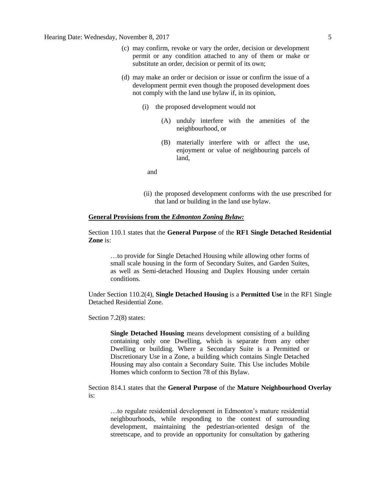- (c) may confirm, revoke or vary the order, decision or development permit or any condition attached to any of them or make or substitute an order, decision or permit of its own;
- (d) may make an order or decision or issue or confirm the issue of a development permit even though the proposed development does not comply with the land use bylaw if, in its opinion,
	- (i) the proposed development would not
		- (A) unduly interfere with the amenities of the neighbourhood, or
		- (B) materially interfere with or affect the use, enjoyment or value of neighbouring parcels of land,

and

(ii) the proposed development conforms with the use prescribed for that land or building in the land use bylaw.

### **General Provisions from the** *Edmonton Zoning Bylaw:*

Section 110.1 states that the **General Purpose** of the **RF1 Single Detached Residential Zone** is:

…to provide for Single Detached Housing while allowing other forms of small scale housing in the form of Secondary Suites, and Garden Suites, as well as Semi-detached Housing and Duplex Housing under certain conditions.

Under Section 110.2(4), **Single Detached Housing** is a **Permitted Use** in the RF1 Single Detached Residential Zone.

Section 7.2(8) states:

**Single Detached Housing** means development consisting of a building containing only one Dwelling, which is separate from any other Dwelling or building. Where a Secondary Suite is a Permitted or Discretionary Use in a Zone, a building which contains Single Detached Housing may also contain a Secondary Suite. This Use includes Mobile Homes which conform to Section 78 of this Bylaw.

Section 814.1 states that the **General Purpose** of the **Mature Neighbourhood Overlay** is:

…to regulate residential development in Edmonton's mature residential neighbourhoods, while responding to the context of surrounding development, maintaining the pedestrian-oriented design of the streetscape, and to provide an opportunity for consultation by gathering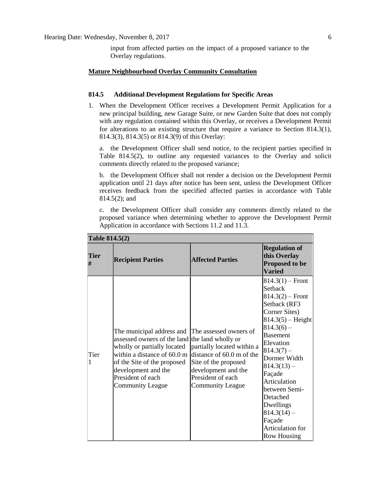input from affected parties on the impact of a proposed variance to the Overlay regulations.

### **Mature Neighbourhood Overlay Community Consultation**

# **814.5 Additional Development Regulations for Specific Areas**

1. When the Development Officer receives a Development Permit Application for a new principal building, new Garage Suite, or new Garden Suite that does not comply with any regulation contained within this Overlay, or receives a Development Permit for alterations to an existing structure that require a variance to Section 814.3(1), 814.3(3), 814.3(5) or 814.3(9) of this Overlay:

a. the Development Officer shall send notice, to the recipient parties specified in Table 814.5(2), to outline any requested variances to the Overlay and solicit comments directly related to the proposed variance;

b. the Development Officer shall not render a decision on the Development Permit application until 21 days after notice has been sent, unless the Development Officer receives feedback from the specified affected parties in accordance with Table 814.5(2); and

c. the Development Officer shall consider any comments directly related to the proposed variance when determining whether to approve the Development Permit Application in accordance with Sections 11.2 and 11.3.

| <b>Tier</b><br># | <b>Recipient Parties</b>                                                                                                                                                                                                                        | <b>Affected Parties</b>                                                                                                                                                   | <b>Regulation of</b><br>this Overlay<br><b>Proposed to be</b><br><b>Varied</b>                                                                                                                                                                                                                                                                             |
|------------------|-------------------------------------------------------------------------------------------------------------------------------------------------------------------------------------------------------------------------------------------------|---------------------------------------------------------------------------------------------------------------------------------------------------------------------------|------------------------------------------------------------------------------------------------------------------------------------------------------------------------------------------------------------------------------------------------------------------------------------------------------------------------------------------------------------|
| Tier<br>1        | The municipal address and<br>assessed owners of the land the land wholly or<br>wholly or partially located<br>within a distance of 60.0 m<br>of the Site of the proposed<br>development and the<br>President of each<br><b>Community League</b> | The assessed owners of<br>partially located within a<br>distance of 60.0 m of the<br>Site of the proposed<br>development and the<br>President of each<br>Community League | $814.3(1)$ – Front<br>Setback<br>$814.3(2)$ – Front<br>Setback (RF3<br>Corner Sites)<br>$ 814.3(5) -$ Height<br>$ 814.3(6) -$<br><b>Basement</b><br>Elevation<br>$ 814.3(7) -$<br>Dormer Width<br>$ 814.3(13) -$<br>Façade<br>Articulation<br>between Semi-<br>Detached<br>Dwellings<br>$ 814.3(14) -$<br>Façade<br>Articulation for<br><b>Row Housing</b> |

# **Table 814.5(2)**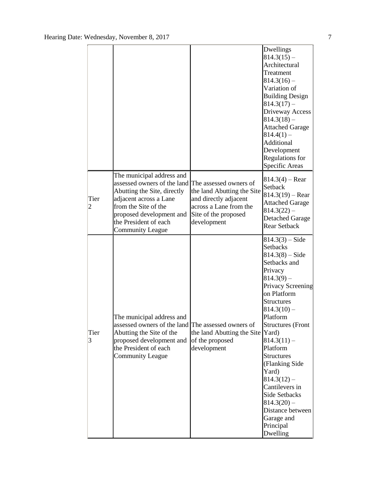|                        |                                                                                                                                                                                                                                           |                                                                                                                      | Dwellings<br>$ 814.3(15) -$<br>Architectural<br>Treatment<br>$ 814.3(16) -$<br>Variation of<br><b>Building Design</b><br>$ 814.3(17) -$<br>Driveway Access<br>$ 814.3(18) -$<br><b>Attached Garage</b><br>$ 814.4(1) -$<br>Additional<br>Development<br>Regulations for<br>Specific Areas                                                                                                                              |
|------------------------|-------------------------------------------------------------------------------------------------------------------------------------------------------------------------------------------------------------------------------------------|----------------------------------------------------------------------------------------------------------------------|------------------------------------------------------------------------------------------------------------------------------------------------------------------------------------------------------------------------------------------------------------------------------------------------------------------------------------------------------------------------------------------------------------------------|
| Tier<br>$\overline{c}$ | The municipal address and<br>assessed owners of the land The assessed owners of<br>Abutting the Site, directly<br>adjacent across a Lane<br>from the Site of the<br>proposed development and<br>the President of each<br>Community League | the land Abutting the Site<br>and directly adjacent<br>across a Lane from the<br>Site of the proposed<br>development | $ 814.3(4) -$ Rear<br>Setback<br>$814.3(19)$ – Rear<br><b>Attached Garage</b><br>$814.3(22) -$<br><b>Detached Garage</b><br><b>Rear Setback</b>                                                                                                                                                                                                                                                                        |
| Tier<br>3              | The municipal address and<br>assessed owners of the land The assessed owners of<br>Abutting the Site of the<br>proposed development and<br>the President of each<br>Community League                                                      | the land Abutting the Site Yard)<br>of the proposed<br>development                                                   | $ 814.3(3) - Side$<br>Setbacks<br>$ 814.3(8) - \text{Side} $<br>Setbacks and<br>Privacy<br>$ 814.3(9) -$<br>Privacy Screening<br>on Platform<br>Structures<br>$ 814.3(10) -$<br>Platform<br>Structures (Front<br>$ 814.3(11) -$<br>Platform<br>Structures<br>(Flanking Side<br>Yard)<br>$ 814.3(12) -$<br>Cantilevers in<br>Side Setbacks<br>$ 814.3(20) -$<br>Distance between<br>Garage and<br>Principal<br>Dwelling |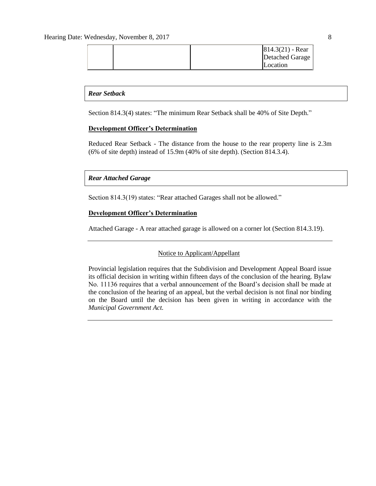|  | $ 814.3(21) - Rear$ |
|--|---------------------|
|  | Detached Garage     |
|  | Location            |

## *Rear Setback*

Section 814.3(4) states: "The minimum Rear Setback shall be 40% of Site Depth."

# **Development Officer's Determination**

Reduced Rear Setback - The distance from the house to the rear property line is 2.3m (6% of site depth) instead of 15.9m (40% of site depth). (Section 814.3.4).

# *Rear Attached Garage*

Section 814.3(19) states: "Rear attached Garages shall not be allowed."

# **Development Officer's Determination**

Attached Garage - A rear attached garage is allowed on a corner lot (Section 814.3.19).

## Notice to Applicant/Appellant

Provincial legislation requires that the Subdivision and Development Appeal Board issue its official decision in writing within fifteen days of the conclusion of the hearing. Bylaw No. 11136 requires that a verbal announcement of the Board's decision shall be made at the conclusion of the hearing of an appeal, but the verbal decision is not final nor binding on the Board until the decision has been given in writing in accordance with the *Municipal Government Act.*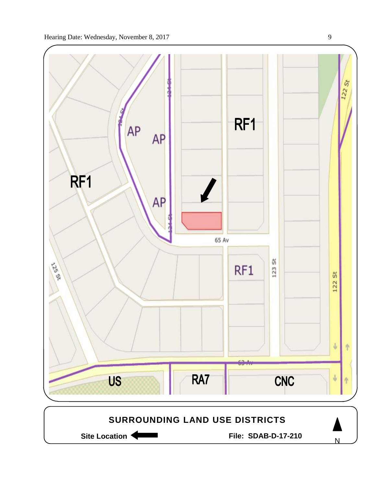



Site Location **Community Contract Contract Contract Contract Contract Contract Contract Contract Contract Contract Contract Contract Contract Contract Contract Contract Contract Contract Contract Contract Contract Contract** 

N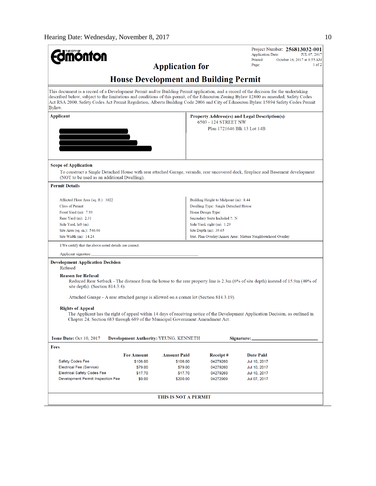| <b>nonton</b>                                                                                                                                    |                   |                                       |                                                     | Project Number: 256813032-001<br><b>Application Date:</b><br>JUL 07, 2017                                                                                                                                                                                                   |  |  |
|--------------------------------------------------------------------------------------------------------------------------------------------------|-------------------|---------------------------------------|-----------------------------------------------------|-----------------------------------------------------------------------------------------------------------------------------------------------------------------------------------------------------------------------------------------------------------------------------|--|--|
|                                                                                                                                                  |                   | <b>Application for</b>                |                                                     | Printed:<br>October 16, 2017 at 8:55 AM<br>$1$ of $2$<br>Page:                                                                                                                                                                                                              |  |  |
|                                                                                                                                                  |                   |                                       | <b>House Development and Building Permit</b>        |                                                                                                                                                                                                                                                                             |  |  |
|                                                                                                                                                  |                   |                                       |                                                     |                                                                                                                                                                                                                                                                             |  |  |
| This document is a record of a Development Permit and/or Building Permit application, and a record of the decision for the undertaking<br>Bylaw. |                   |                                       |                                                     | described below, subject to the limitations and conditions of this permit, of the Edmonton Zoning Bylaw 12800 as amended, Safety Codes<br>Act RSA 2000, Safety Codes Act Permit Regulation, Alberta Building Code 2006 and City of Edmonton Bylaw 15894 Safety Codes Permit |  |  |
| <b>Applicant</b><br>Property Address(es) and Legal Description(s)                                                                                |                   |                                       |                                                     |                                                                                                                                                                                                                                                                             |  |  |
|                                                                                                                                                  |                   |                                       | 6503 - 124 STREET NW<br>Plan 1721646 Blk 13 Lot 14B |                                                                                                                                                                                                                                                                             |  |  |
|                                                                                                                                                  |                   |                                       |                                                     |                                                                                                                                                                                                                                                                             |  |  |
|                                                                                                                                                  |                   |                                       |                                                     |                                                                                                                                                                                                                                                                             |  |  |
| <b>Scope of Application</b>                                                                                                                      |                   |                                       |                                                     |                                                                                                                                                                                                                                                                             |  |  |
| (NOT to be used as an additional Dwelling).                                                                                                      |                   |                                       |                                                     | To construct a Single Detached House with rear attached Garage, veranda, rear uncovered deck, fireplace and Basement development                                                                                                                                            |  |  |
| <b>Permit Details</b>                                                                                                                            |                   |                                       |                                                     |                                                                                                                                                                                                                                                                             |  |  |
| Affected Floor Area (sq. ft.): 3022                                                                                                              |                   |                                       | Building Height to Midpoint (m): 8.44               |                                                                                                                                                                                                                                                                             |  |  |
| <b>Class of Permit:</b>                                                                                                                          |                   |                                       | Dwelling Type: Single Detached House                |                                                                                                                                                                                                                                                                             |  |  |
| Front Yard $(m)$ : 7.93                                                                                                                          |                   |                                       | Home Design Type:                                   |                                                                                                                                                                                                                                                                             |  |  |
| Rear Yard $(m)$ : 2.31                                                                                                                           |                   |                                       | Secondary Suite Included ?: N                       |                                                                                                                                                                                                                                                                             |  |  |
| Side Yard, left (m):                                                                                                                             |                   |                                       | Side Yard, right $(m)$ : 1.29                       |                                                                                                                                                                                                                                                                             |  |  |
| Site Area (sq. m.): 546.06                                                                                                                       |                   |                                       | Site Depth $(m)$ : 39.65                            |                                                                                                                                                                                                                                                                             |  |  |
| Site Width $(m)$ : 14.24                                                                                                                         |                   |                                       |                                                     | Stat. Plan Overlay/Annex Area: Mature Neighbourhood Overlay                                                                                                                                                                                                                 |  |  |
| I/We certify that the above noted details are correct.                                                                                           |                   |                                       |                                                     |                                                                                                                                                                                                                                                                             |  |  |
| Applicant signature:                                                                                                                             |                   |                                       |                                                     |                                                                                                                                                                                                                                                                             |  |  |
| <b>Development Application Decision</b><br>Refused                                                                                               |                   |                                       |                                                     |                                                                                                                                                                                                                                                                             |  |  |
| <b>Reason for Refusal</b><br>site depth). (Section 814.3.4).                                                                                     |                   |                                       |                                                     | Reduced Rear Setback - The distance from the house to the rear property line is 2.3m (6% of site depth) instead of 15.9m (40% of                                                                                                                                            |  |  |
| Attached Garage - A rear attached garage is allowed on a corner lot (Section 814.3.19).                                                          |                   |                                       |                                                     |                                                                                                                                                                                                                                                                             |  |  |
|                                                                                                                                                  |                   |                                       |                                                     |                                                                                                                                                                                                                                                                             |  |  |
| <b>Rights of Appeal</b><br>Chapter 24, Section 683 through 689 of the Municipal Government Amendment Act.                                        |                   |                                       |                                                     | The Applicant has the right of appeal within 14 days of receiving notice of the Development Application Decision, as outlined in                                                                                                                                            |  |  |
| Issue Date: Oct 10, 2017                                                                                                                         |                   | Development Authority: YEUNG, KENNETH |                                                     | Signature:                                                                                                                                                                                                                                                                  |  |  |
| Fees                                                                                                                                             |                   |                                       |                                                     |                                                                                                                                                                                                                                                                             |  |  |
|                                                                                                                                                  | <b>Fee Amount</b> | <b>Amount Paid</b>                    | Receipt#                                            | Date Paid                                                                                                                                                                                                                                                                   |  |  |
| Safety Codes Fee                                                                                                                                 | \$106.00          | \$106.00                              | 04279260                                            | Jul 10, 2017                                                                                                                                                                                                                                                                |  |  |
| Electrical Fee (Service)                                                                                                                         | \$79.00           | \$79.00                               | 04279260                                            | Jul 10, 2017                                                                                                                                                                                                                                                                |  |  |
| <b>Electrical Safety Codes Fee</b>                                                                                                               | \$17.70           | \$17.70                               | 04279260                                            | Jul 10, 2017                                                                                                                                                                                                                                                                |  |  |
| Development Permit Inspection Fee                                                                                                                | \$0.00            | \$200.00                              | 04272909                                            | Jul 07, 2017                                                                                                                                                                                                                                                                |  |  |
|                                                                                                                                                  |                   | <b>THIS IS NOT A PERMIT</b>           |                                                     |                                                                                                                                                                                                                                                                             |  |  |
|                                                                                                                                                  |                   |                                       |                                                     |                                                                                                                                                                                                                                                                             |  |  |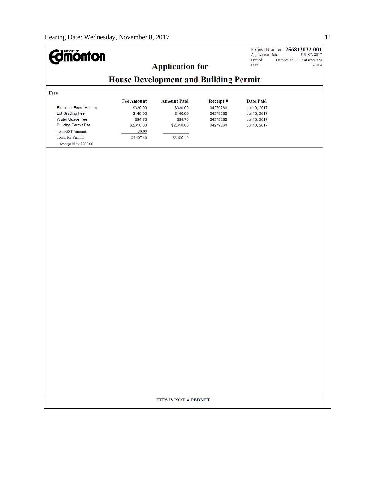# Project Number: 256813032-001<br>Application Date: JUL 07, 2017<br>Printed: October 16, 2017 at 8:55 AM **Edinonton Application for** Page:  $2\ \mathrm{of}\ 2$ **House Development and Building Permit** Fees **Amount Paid** Receipt# Date Paid **Fee Amount** Electrical Fees (House) \$330.00 \$330.00 04279260 Jul 10, 2017 Lot Grading Fee \$140.00 \$140.00 04279260 Jul 10, 2017 Water Usage Fee \$84.70 04279260 Jul 10, 2017 \$84.70 **Building Permit Fee** \$2,650.00 \$2,650.00 04279260 Jul 10, 2017 Total GST Amount:  $$0.00$ Totals for Permit: \$3,407.40 \$3,607.40 (overpaid by  $\$200.00$ THIS IS NOT A PERMIT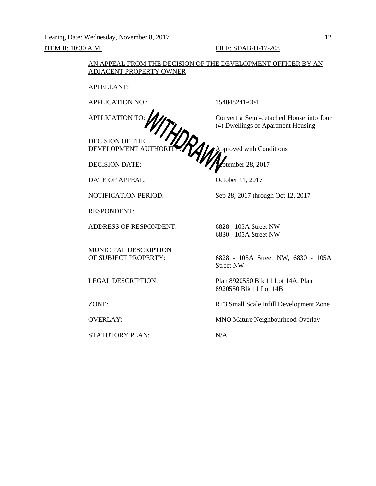Hearing Date: Wednesday, November 8, 2017 12

# **ITEM II:** 10:30 A.M. **FILE:** SDAB-D-17-208

# AN APPEAL FROM THE DECISION OF THE DEVELOPMENT OFFICER BY AN ADJACENT PROPERTY OWNER

APPELLANT:

APPLICATION NO.: 154848241-004

DECISION OF THE

DATE OF APPEAL: October 11, 2017

RESPONDENT:

ADDRESS OF RESPONDENT: 6828 - 105A Street NW

MUNICIPAL DESCRIPTION

STATUTORY PLAN: N/A

APPLICATION TO:  $\iint$  Convert a Semi-detached House into four (4) Dwellings of Apartment Housing

DEVELOPMENT AUTHORITY:  $\prod$  Approved with Conditions DECISION DATE: September 28, 2017

NOTIFICATION PERIOD: Sep 28, 2017 through Oct 12, 2017

6830 - 105A Street NW

OF SUBJECT PROPERTY: 6828 - 105A Street NW, 6830 - 105A Street NW

LEGAL DESCRIPTION: Plan 8920550 Blk 11 Lot 14A, Plan 8920550 Blk 11 Lot 14B

ZONE: RF3 Small Scale Infill Development Zone

OVERLAY: MNO Mature Neighbourhood Overlay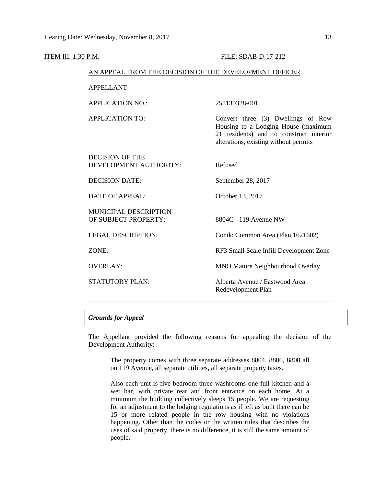| <b>ITEM III: 1:30 P.M.</b>                             | FILE: SDAB-D-17-212                                                                                                                                           |  |  |
|--------------------------------------------------------|---------------------------------------------------------------------------------------------------------------------------------------------------------------|--|--|
| AN APPEAL FROM THE DECISION OF THE DEVELOPMENT OFFICER |                                                                                                                                                               |  |  |
| <b>APPELLANT:</b>                                      |                                                                                                                                                               |  |  |
| <b>APPLICATION NO.:</b>                                | 258130328-001                                                                                                                                                 |  |  |
| <b>APPLICATION TO:</b>                                 | Convert three (3) Dwellings of Row<br>Housing to a Lodging House (maximum<br>21 residents) and to construct interior<br>alterations, existing without permits |  |  |
| <b>DECISION OF THE</b><br>DEVELOPMENT AUTHORITY:       | Refused                                                                                                                                                       |  |  |
| <b>DECISION DATE:</b>                                  | September 28, 2017                                                                                                                                            |  |  |
| <b>DATE OF APPEAL:</b>                                 | October 13, 2017                                                                                                                                              |  |  |
| <b>MUNICIPAL DESCRIPTION</b><br>OF SUBJECT PROPERTY:   | 8804C - 119 Avenue NW                                                                                                                                         |  |  |
| <b>LEGAL DESCRIPTION:</b>                              | Condo Common Area (Plan 1621602)                                                                                                                              |  |  |
| ZONE:                                                  | RF3 Small Scale Infill Development Zone                                                                                                                       |  |  |
| <b>OVERLAY:</b>                                        | MNO Mature Neighbourhood Overlay                                                                                                                              |  |  |
| STATUTORY PLAN:                                        | Alberta Avenue / Eastwood Area<br>Redevelopment Plan                                                                                                          |  |  |

# *Grounds for Appeal*

The Appellant provided the following reasons for appealing the decision of the Development Authority:

The property comes with three separate addresses 8804, 8806, 8808 all on 119 Avenue, all separate utilities, all separate property taxes.

Also each unit is five bedroom three washrooms one full kitchen and a wet bar, with private rear and front entrance on each home. At a minimum the building collectively sleeps 15 people. We are requesting for an adjustment to the lodging regulations as if left as built there can be 15 or more related people in the row housing with no violations happening. Other than the codes or the written rules that describes the uses of said property, there is no difference, it is still the same amount of people.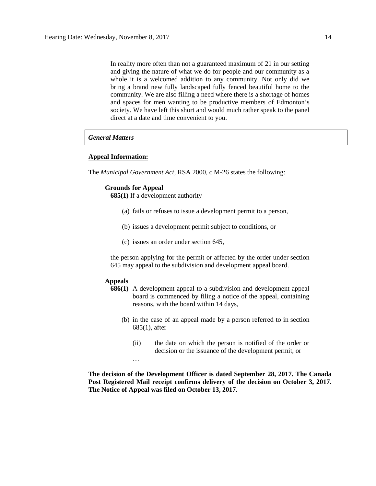In reality more often than not a guaranteed maximum of 21 in our setting and giving the nature of what we do for people and our community as a whole it is a welcomed addition to any community. Not only did we bring a brand new fully landscaped fully fenced beautiful home to the community. We are also filling a need where there is a shortage of homes and spaces for men wanting to be productive members of Edmonton's society. We have left this short and would much rather speak to the panel direct at a date and time convenient to you.

## *General Matters*

# **Appeal Information:**

The *Municipal Government Act*, RSA 2000, c M-26 states the following:

#### **Grounds for Appeal**

**685(1)** If a development authority

- (a) fails or refuses to issue a development permit to a person,
- (b) issues a development permit subject to conditions, or
- (c) issues an order under section 645,

the person applying for the permit or affected by the order under section 645 may appeal to the subdivision and development appeal board.

## **Appeals**

- **686(1)** A development appeal to a subdivision and development appeal board is commenced by filing a notice of the appeal, containing reasons, with the board within 14 days,
	- (b) in the case of an appeal made by a person referred to in section 685(1), after
		- (ii) the date on which the person is notified of the order or decision or the issuance of the development permit, or …

**The decision of the Development Officer is dated September 28, 2017. The Canada Post Registered Mail receipt confirms delivery of the decision on October 3, 2017. The Notice of Appeal was filed on October 13, 2017.**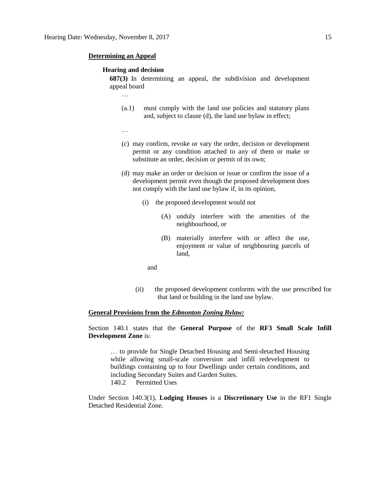### **Determining an Appeal**

### **Hearing and decision**

**687(3)** In determining an appeal, the subdivision and development appeal board

- (a.1) must comply with the land use policies and statutory plans and, subject to clause (d), the land use bylaw in effect;
- …

…

- (c) may confirm, revoke or vary the order, decision or development permit or any condition attached to any of them or make or substitute an order, decision or permit of its own;
- (d) may make an order or decision or issue or confirm the issue of a development permit even though the proposed development does not comply with the land use bylaw if, in its opinion,
	- (i) the proposed development would not
		- (A) unduly interfere with the amenities of the neighbourhood, or
		- (B) materially interfere with or affect the use, enjoyment or value of neighbouring parcels of land,

and

(ii) the proposed development conforms with the use prescribed for that land or building in the land use bylaw.

## **General Provisions from the** *Edmonton Zoning Bylaw:*

Section 140.1 states that the **General Purpose** of the **RF3 Small Scale Infill Development Zone** is:

… to provide for Single Detached Housing and Semi-detached Housing while allowing small-scale conversion and infill redevelopment to buildings containing up to four Dwellings under certain conditions, and including Secondary Suites and Garden Suites. 140.2 Permitted Uses

Under Section 140.3(1), **Lodging Houses** is a **Discretionary Use** in the RF1 Single Detached Residential Zone.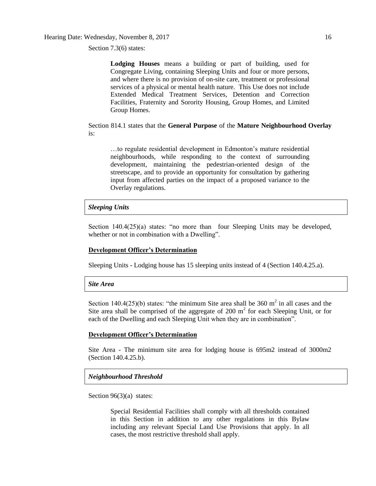Hearing Date: Wednesday, November 8, 2017 16

Section 7.3(6) states:

**Lodging Houses** means a building or part of building, used for Congregate Living, containing Sleeping Units and four or more persons, and where there is no provision of on-site care, treatment or professional services of a physical or mental health nature. This Use does not include Extended Medical Treatment Services, Detention and Correction Facilities, Fraternity and Sorority Housing, Group Homes, and Limited Group Homes.

Section 814.1 states that the **General Purpose** of the **Mature Neighbourhood Overlay** is:

…to regulate residential development in Edmonton's mature residential neighbourhoods, while responding to the context of surrounding development, maintaining the pedestrian-oriented design of the streetscape, and to provide an opportunity for consultation by gathering input from affected parties on the impact of a proposed variance to the Overlay regulations.

# *Sleeping Units*

Section 140.4(25)(a) states: "no more than four Sleeping Units may be developed, whether or not in combination with a Dwelling".

# **Development Officer's Determination**

Sleeping Units - Lodging house has 15 sleeping units instead of 4 (Section 140.4.25.a).

### *Site Area*

Section 140.4(25)(b) states: "the minimum Site area shall be 360  $m^2$  in all cases and the Site area shall be comprised of the aggregate of 200  $m<sup>2</sup>$  for each Sleeping Unit, or for each of the Dwelling and each Sleeping Unit when they are in combination".

### **Development Officer's Determination**

Site Area - The minimum site area for lodging house is 695m2 instead of 3000m2 (Section 140.4.25.b).

# *Neighbourhood Threshold*

Section 96(3)(a) states:

Special Residential Facilities shall comply with all thresholds contained in this Section in addition to any other regulations in this Bylaw including any relevant Special Land Use Provisions that apply. In all cases, the most restrictive threshold shall apply.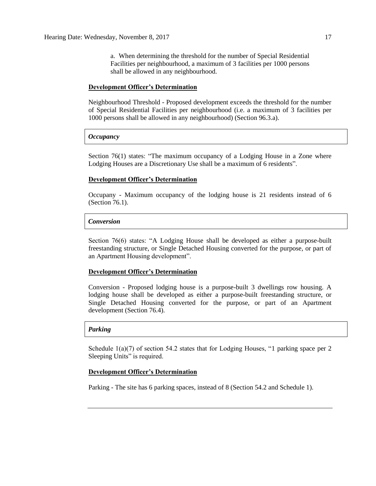a. When determining the threshold for the number of Special Residential Facilities per neighbourhood, a maximum of 3 facilities per 1000 persons shall be allowed in any neighbourhood.

### **Development Officer's Determination**

Neighbourhood Threshold - Proposed development exceeds the threshold for the number of Special Residential Facilities per neighbourhood (i.e. a maximum of 3 facilities per 1000 persons shall be allowed in any neighbourhood) (Section 96.3.a).

### *Occupancy*

Section 76(1) states: "The maximum occupancy of a Lodging House in a Zone where Lodging Houses are a Discretionary Use shall be a maximum of 6 residents".

### **Development Officer's Determination**

Occupany - Maximum occupancy of the lodging house is 21 residents instead of 6 (Section 76.1).

### *Conversion*

Section 76(6) states: "A Lodging House shall be developed as either a purpose-built freestanding structure, or Single Detached Housing converted for the purpose, or part of an Apartment Housing development".

### **Development Officer's Determination**

Conversion - Proposed lodging house is a purpose-built 3 dwellings row housing. A lodging house shall be developed as either a purpose-built freestanding structure, or Single Detached Housing converted for the purpose, or part of an Apartment development (Section 76.4).

# *Parking*

Schedule  $1(a)(7)$  of section 54.2 states that for Lodging Houses, "1 parking space per 2 Sleeping Units" is required.

## **Development Officer's Determination**

Parking - The site has 6 parking spaces, instead of 8 (Section 54.2 and Schedule 1).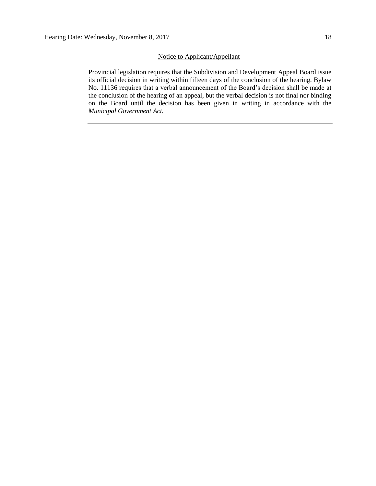# Notice to Applicant/Appellant

Provincial legislation requires that the Subdivision and Development Appeal Board issue its official decision in writing within fifteen days of the conclusion of the hearing. Bylaw No. 11136 requires that a verbal announcement of the Board's decision shall be made at the conclusion of the hearing of an appeal, but the verbal decision is not final nor binding on the Board until the decision has been given in writing in accordance with the *Municipal Government Act.*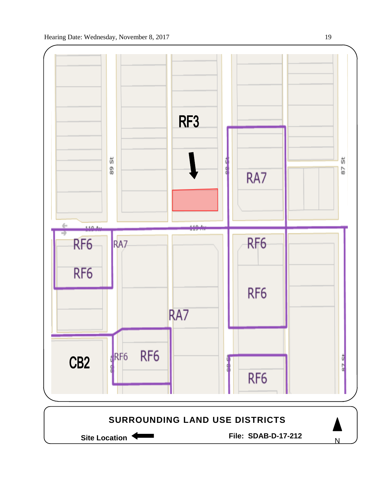

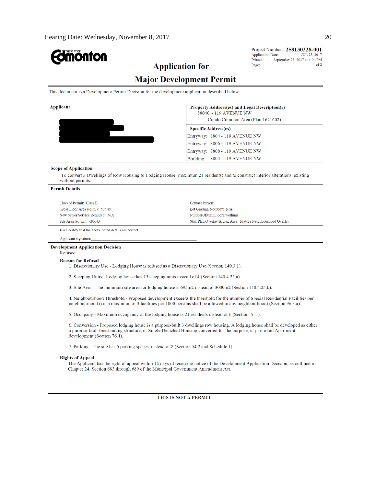| THE CITY OF                                                                                                                                                                                                                                                                             |                                 | Project Number: 258130328-001<br><b>Application Date:</b><br>JUL 25, 2017 |
|-----------------------------------------------------------------------------------------------------------------------------------------------------------------------------------------------------------------------------------------------------------------------------------------|---------------------------------|---------------------------------------------------------------------------|
|                                                                                                                                                                                                                                                                                         | <b>Application for</b>          | Printed:<br>September 28, 2017 at 4:04 PM<br>$1$ of $2$<br>Page:          |
|                                                                                                                                                                                                                                                                                         |                                 |                                                                           |
|                                                                                                                                                                                                                                                                                         | <b>Major Development Permit</b> |                                                                           |
| This document is a Development Permit Decision for the development application described below.                                                                                                                                                                                         |                                 |                                                                           |
| Applicant                                                                                                                                                                                                                                                                               | 8804C - 119 AVENUE NW           | Property Address(es) and Legal Description(s)                             |
|                                                                                                                                                                                                                                                                                         |                                 | Condo Common Area (Plan 1621602)                                          |
|                                                                                                                                                                                                                                                                                         | <b>Specific Address(es)</b>     |                                                                           |
|                                                                                                                                                                                                                                                                                         | Entryway: 8804 - 119 AVENUE NW  |                                                                           |
|                                                                                                                                                                                                                                                                                         | Entryway: 8806 - 119 AVENUE NW  |                                                                           |
|                                                                                                                                                                                                                                                                                         | Entryway: 8808 - 119 AVENUE NW  |                                                                           |
|                                                                                                                                                                                                                                                                                         | Building: 8804 - 119 AVENUE NW  |                                                                           |
| <b>Scope of Application</b>                                                                                                                                                                                                                                                             |                                 |                                                                           |
| To convert 3 Dwellings of Row Housing to Lodging House (maximum 21 residents) and to construct interior alterations, existing                                                                                                                                                           |                                 |                                                                           |
| without permits.                                                                                                                                                                                                                                                                        |                                 |                                                                           |
| <b>Permit Details</b>                                                                                                                                                                                                                                                                   |                                 |                                                                           |
| Class of Permit: Class B                                                                                                                                                                                                                                                                | <b>Contact Person:</b>          |                                                                           |
| Gross Floor Area (sq.m.): 505.85                                                                                                                                                                                                                                                        | Lot Grading Needed?: N/A        |                                                                           |
| New Sewer Service Required: N/A                                                                                                                                                                                                                                                         | NumberOfMainFloorDwellings:     |                                                                           |
| Site Area (sq. m.): 695.43                                                                                                                                                                                                                                                              |                                 | Stat. Plan Overlay/Annex Area: Mature Neighbourhood Overlay               |
| I/We certify that the above noted details are correct.                                                                                                                                                                                                                                  |                                 |                                                                           |
| Applicant signature:                                                                                                                                                                                                                                                                    |                                 |                                                                           |
| <b>Development Application Decision</b><br>Refused                                                                                                                                                                                                                                      |                                 |                                                                           |
| <b>Reason for Refusal</b><br>1. Discretionary Use - Lodging House is refused as a Discretionary Use (Section 140.3.1).                                                                                                                                                                  |                                 |                                                                           |
| 2. Sleeping Units - Lodging house has 15 sleeping units instead of 4 (Section 140.4.25.a).                                                                                                                                                                                              |                                 |                                                                           |
| 3. Site Area - The minimum site area for lodging house is 695m2 instead of 3000m2 (Section 140.4.25.b).                                                                                                                                                                                 |                                 |                                                                           |
| 4. Neighbourhood Threshold - Proposed development exceeds the threshold for the number of Special Residential Facilities per<br>neighbourhood (i.e. a maximum of 3 facilities per 1000 persons shall be allowed in any neighbourhood) (Section 96.3.a).                                 |                                 |                                                                           |
| 5. Occupany - Maximum occupancy of the lodging house is 21 residents instead of 6 (Section 76.1).                                                                                                                                                                                       |                                 |                                                                           |
| 6. Conversion - Proposed lodging house is a purpose-built 3 dwellings row housing. A lodging house shall be developed as either<br>a purpose-built freestanding structure, or Single Detached Housing converted for the purpose, or part of an Apartment<br>development (Section 76.4). |                                 |                                                                           |
| 7. Parking - The site has 6 parking spaces, instead of 8 (Section 54.2 and Schedule 1).                                                                                                                                                                                                 |                                 |                                                                           |
| <b>Rights of Appeal</b><br>The Applicant has the right of appeal within 14 days of receiving notice of the Development Application Decision, as outlined in<br>Chapter 24, Section 683 through 689 of the Municipal Government Amendment Act.                                           |                                 |                                                                           |
|                                                                                                                                                                                                                                                                                         |                                 |                                                                           |
|                                                                                                                                                                                                                                                                                         |                                 |                                                                           |
|                                                                                                                                                                                                                                                                                         | THIS IS NOT A PERMIT            |                                                                           |